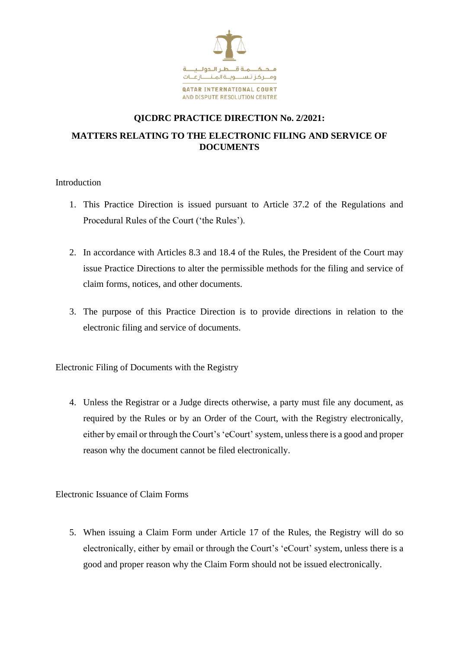

## **QICDRC PRACTICE DIRECTION No. 2/2021: MATTERS RELATING TO THE ELECTRONIC FILING AND SERVICE OF DOCUMENTS**

Introduction

- 1. This Practice Direction is issued pursuant to Article 37.2 of the Regulations and Procedural Rules of the Court ('the Rules').
- 2. In accordance with Articles 8.3 and 18.4 of the Rules, the President of the Court may issue Practice Directions to alter the permissible methods for the filing and service of claim forms, notices, and other documents.
- 3. The purpose of this Practice Direction is to provide directions in relation to the electronic filing and service of documents.

Electronic Filing of Documents with the Registry

4. Unless the Registrar or a Judge directs otherwise, a party must file any document, as required by the Rules or by an Order of the Court, with the Registry electronically, either by email or through the Court's 'eCourt' system, unless there is a good and proper reason why the document cannot be filed electronically.

Electronic Issuance of Claim Forms

5. When issuing a Claim Form under Article 17 of the Rules, the Registry will do so electronically, either by email or through the Court's 'eCourt' system, unless there is a good and proper reason why the Claim Form should not be issued electronically.